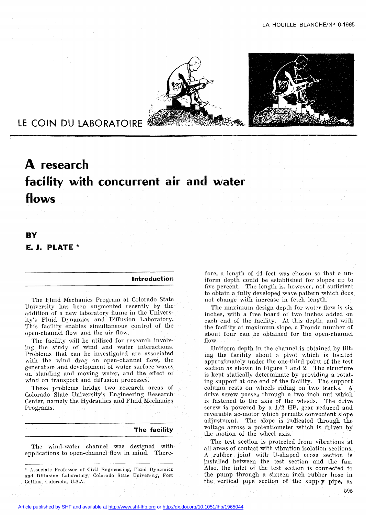



# **LE COIN DU LABORATOIRE**

# **A research facility with concurrent air and water flows**

# **BV E. J. PLATE \***

## **Introduction**

The Fluid Mechanics Program at Colorado State University has been augmented recently by the addition of a new laboratory flume in the University's Fluid Dynamics and Diffusion Laboratory. This facility enables simultaneous control of the open-channel flow and the air flow.

The facility will he utilized for research involving the study of wind and water interactions. Problems that can be investigated are associated with the wind drag on open-channel flow, the aeneration and development of water surface waves on standing and moving water, and the effect of wind on transport and diffusion processes.

These problems bridge two research areas of Colorado State University's Engineering Research Center, namely the Hydraulics and Fluid Mechanics Programs.

#### **The facility**

The wind-water channel was designed with applications to open-channel flow in mind. There-

• Associate Professor of Civil Engineering, Fluid Dynamics and Diffusion Laboratory, Colorado State University, Fort Collins, Colorado, U.S.A.

fore, a length of 44 feet was chosen so that a uniform depth could be estabIished for slopes up to five percent. The length is, however, not sufficient to obtain a fuIly developed wave pattern which does not change with increase in fetch length.

The maximum design depth for water flow is six inches, with a free board of two inches added on each end of the facility. At this depth, and with the faciIity at maximum slope, a Froude number of about four .can be obtained for the open-channel flow.

Uniform depth in the channel is obtained by tiIting the facility about a pivot which is located approximately under the one-third point of the test section as shown in Figure 1 and 2. The structure is kept staticaIly determinate by providing a rotating support at one end of the facility. The support column rests on wheels riding on two tracks. A drive screw passes through a two inch nut which is fastened to the axis of the wheels. The drive screw is powered by a  $1/2$  HP, gear reduced and reversible ac-motor which permits convenient slope adjustment. The slope is indicated through the voltage across a potentiometer which is driven by the motion of the wheel axis.

The test section is protected from vibrations at aIl areas of contact with vibration isolation sections. A rubber joint with U-shaped cross section is tnstaIled between the test section and the fan. Also, the inlet of the test section is connected to the pump through a sixteen inch rubber hose in the vertical pipe section of the supply pipe, as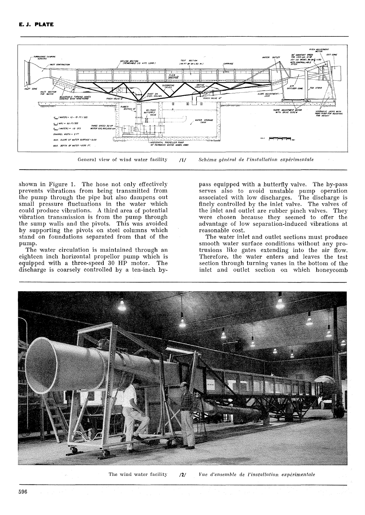

shown in Figure 1. The hose not only effectively prevents vibrations from being transmitted from the pump through the pipe but also dampens out small pressure fluctuations in the water which could produce vibrations. A third area of potential vibration transmission is from the pump through the sump walls and the pivots. This was avoided by supporting the pivots on steel columns which stand on foundations separated from that of the pump.

The water circulation is maintained through an eighteen inch horizontal propellor pump which is equipped with a three-speed 30 HP motor. The discharge is coarsely controlled by a ten-inch bypass equipped with a butterfly valve. The by-pass serves also to avoid unstable pump operation associated with low discharges. The discharge is finely controlled by the inlet valve. The valves of the inlet and outlet are rubber pinch valves. They were chosen because they seemed to offer the advantage of low separation-induced vibrations at reasonable cost.

The water inlet and outlet sections must produce smooth water surface conditions without any protrusions like gates extending into the air flow. Therefore, the water enters and leaves the test section through turning vanes in the bottom of the inlet and outlet section on which honeycomb



The wind water facility  $121$ Vue d'ensemble de l'installation expérimentale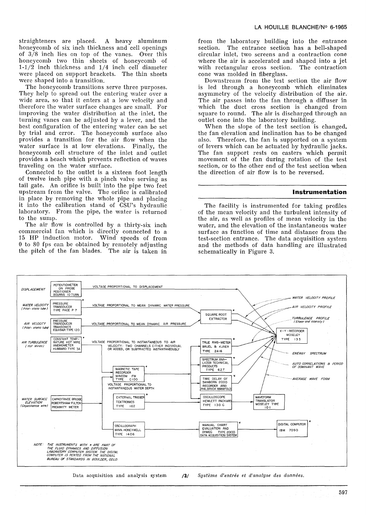straighteners are placed. A heavy aluminum honeycomb of six inch thickness and celI openings of 3/8 inch lies on top of the vanes. Over this honeycomb two thin sheets of honeycomb of  $1-1/2$  inch thickness and  $1/4$  inch cell diameter were plaeed on support brackets. The thin sheets were shaped into a transition.

The honeycomb transitions serve three purposes. They help to spread out the entering water over a wide area, so that it enters at a low velocity and therefore the water surface changes are small. For improving the water distribution at the inlet, the turning vanes can be adjusted by a lever, and the best configuration of the entering water can be set by trial and error. The honeycomb surface also provides a transition for the air flow when the water surface is at low elevations. FinalIy, the honeycomb cclI structure of the inlet and outlet provides a beach which prevents reflection of waves traveling on the water surface.

Connected to the outlet is a sixteen foot length of twelve inch pipe with a pinch valve serving as tail gate. An orifice is built into the pipe two feet upstream from the valve. The orifice is calibrated in place by removing the whole pipe and placing it into the calibration stand of CSU's hydraulic laboratory. From the pipe, the water is returned to the sump.

The air flow is controlled by a thirty-six inch commercial fan which is directly connected to a 15 HP induction motor. Wind speeds of from o to <sup>80</sup> fps can be obtained by remotely adjusting the pitch of the fan blades. The air is taken in from the laboratory building into the entrance section. The entrance section has a belI-shaped circular inlet, two screens and a contraction cone where the air is accelerated and shaped into a jet with rectangular cross section. The contraction cone was molded in fiberglass.

Downstream from the test section the air flow is led through a honeycomb which eliminates asymmetry of the velocity distribution of the air. The air passes into the fan through a diffuser in which the duct cross section is changed from square to round. The air is discharged through an outlet cone into the laboratory building.

When the slope of the test section is changed, the fan elevation and inclination has to be changed also. Therefore, the fan is supported on a system of levers which can be actuated by hydraulic jacks. The fan support rests on casters which permit movement of the fan during rotation of the test section, or to the other end of the test section when the direction of air flow is to be reversed.

## **Instrumentation**

The facility is instrumented for taking profiles of the mean velocity and the turbulent intensity of the air, as weIl as profiles of mean velocity in the water, and the elevation of the instantaneous water surface as function of time and distance from the test-section entrance. The data acquisition system and the methods of data handling are illustrated schematicalIy in Figure 3.



Data acquisition and analysis system /3/ *Système d'entrée et d'analyse des données.*